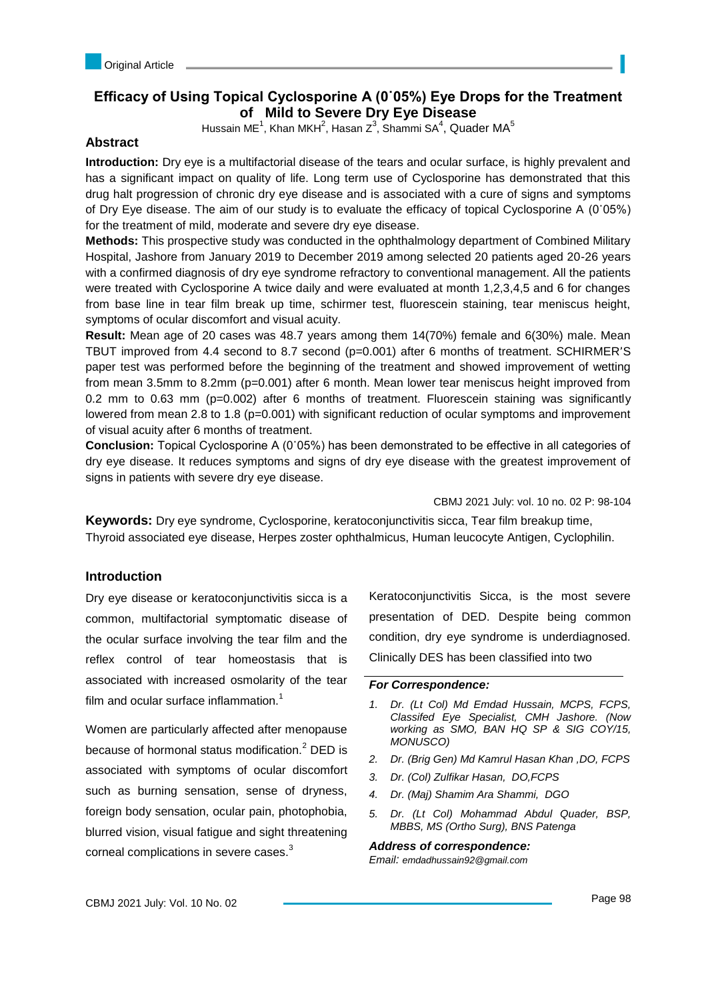# **Efficacy of Using Topical Cyclosporine A (0˙05%) Eye Drops for the Treatment of Mild to Severe Dry Eye Disease**

Hussain ME $^1$ , Khan MKH $^2$ , Hasan Z $^3$ , Shammi SA $^4$ , Quader MA $^5$ 

# **Abstract**

**Introduction:** Dry eye is a multifactorial disease of the tears and ocular surface, is highly prevalent and has a significant impact on quality of life. Long term use of Cyclosporine has demonstrated that this drug halt progression of chronic dry eye disease and is associated with a cure of signs and symptoms of Dry Eye disease. The aim of our study is to evaluate the efficacy of topical Cyclosporine A (0˙05%) for the treatment of mild, moderate and severe dry eye disease.

**Methods:** This prospective study was conducted in the ophthalmology department of Combined Military Hospital, Jashore from January 2019 to December 2019 among selected 20 patients aged 20-26 years with a confirmed diagnosis of dry eye syndrome refractory to conventional management. All the patients were treated with Cyclosporine A twice daily and were evaluated at month 1,2,3,4,5 and 6 for changes from base line in tear film break up time, schirmer test, fluorescein staining, tear meniscus height, symptoms of ocular discomfort and visual acuity.

**Result:** Mean age of 20 cases was 48.7 years among them 14(70%) female and 6(30%) male. Mean TBUT improved from 4.4 second to 8.7 second (p=0.001) after 6 months of treatment. SCHIRMER'S paper test was performed before the beginning of the treatment and showed improvement of wetting from mean 3.5mm to 8.2mm (p=0.001) after 6 month. Mean lower tear meniscus height improved from 0.2 mm to 0.63 mm (p=0.002) after 6 months of treatment. Fluorescein staining was significantly lowered from mean 2.8 to 1.8 (p=0.001) with significant reduction of ocular symptoms and improvement of visual acuity after 6 months of treatment.

**Conclusion:** Topical Cyclosporine A (0˙05%) has been demonstrated to be effective in all categories of dry eye disease. It reduces symptoms and signs of dry eye disease with the greatest improvement of signs in patients with severe dry eye disease.

CBMJ 2021 July: vol. 10 no. 02 P: 98-104

**Keywords:** Dry eye syndrome, Cyclosporine, keratoconjunctivitis sicca, Tear film breakup time, Thyroid associated eye disease, Herpes zoster ophthalmicus, Human leucocyte Antigen, Cyclophilin.

# **Introduction**

Dry eye disease or keratoconjunctivitis sicca is a common, multifactorial symptomatic disease of the ocular surface involving the tear film and the reflex control of tear homeostasis that is associated with increased osmolarity of the tear film and ocular surface inflammation.<sup>1</sup>

Women are particularly affected after menopause because of hormonal status modification.<sup>2</sup> DED is associated with symptoms of ocular discomfort such as burning sensation, sense of dryness, foreign body sensation, ocular pain, photophobia, blurred vision, visual fatigue and sight threatening corneal complications in severe cases.<sup>3</sup>

Keratoconjunctivitis Sicca, is the most severe presentation of DED. Despite being common condition, dry eye syndrome is underdiagnosed. Clinically DES has been classified into two

### *For Correspondence:*

- *1. Dr. (Lt Col) Md Emdad Hussain, MCPS, FCPS, Classifed Eye Specialist, CMH Jashore. (Now working as SMO, BAN HQ SP & SIG COY/15, MONUSCO)*
- *2. Dr. (Brig Gen) Md Kamrul Hasan Khan ,DO, FCPS*
- *3. Dr. (Col) Zulfikar Hasan, DO,FCPS*
- *4. Dr. (Maj) Shamim Ara Shammi, DGO*
- *5. Dr. (Lt Col) Mohammad Abdul Quader, BSP, MBBS, MS (Ortho Surg), BNS Patenga*

*Address of correspondence:* 

*Email: emdadhussain92@gmail.com*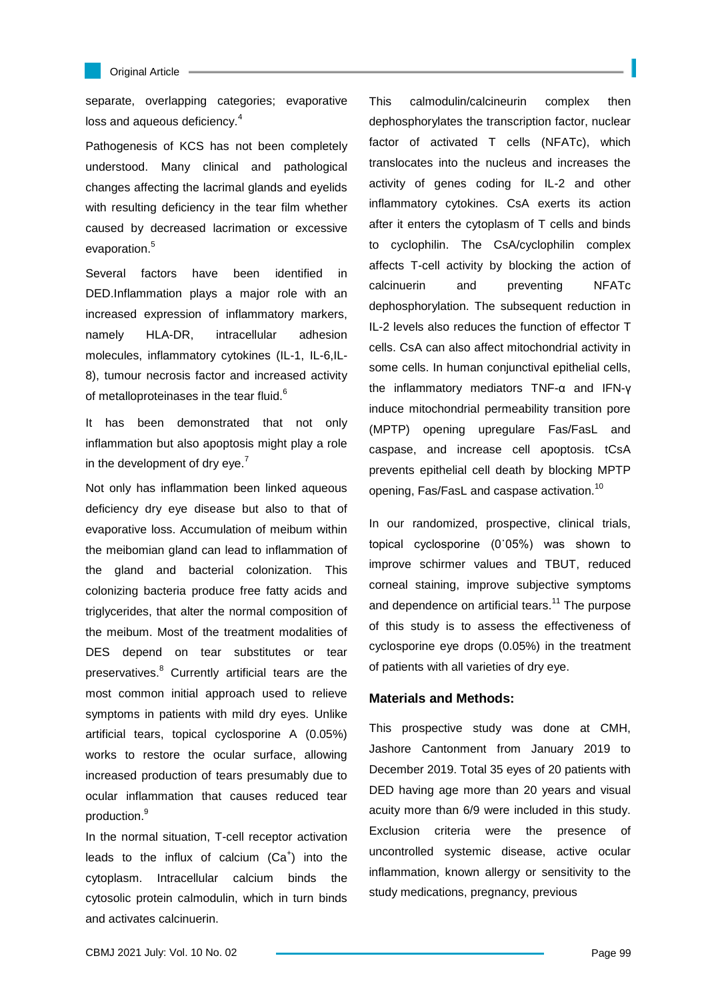

#### Original Article

separate, overlapping categories; evaporative loss and aqueous deficiency.<sup>4</sup>

Pathogenesis of KCS has not been completely understood. Many clinical and pathological changes affecting the lacrimal glands and eyelids with resulting deficiency in the tear film whether caused by decreased lacrimation or excessive evaporation.<sup>5</sup>

Several factors have been identified in DED.Inflammation plays a major role with an increased expression of inflammatory markers, namely HLA-DR, intracellular adhesion molecules, inflammatory cytokines (IL-1, IL-6,IL-8), tumour necrosis factor and increased activity of metalloproteinases in the tear fluid.<sup>6</sup>

It has been demonstrated that not only inflammation but also apoptosis might play a role in the development of dry eye.<sup>7</sup>

Not only has inflammation been linked aqueous deficiency dry eye disease but also to that of evaporative loss. Accumulation of meibum within the meibomian gland can lead to inflammation of the gland and bacterial colonization. This colonizing bacteria produce free fatty acids and triglycerides, that alter the normal composition of the meibum. Most of the treatment modalities of DES depend on tear substitutes or tear preservatives.<sup>8</sup> Currently artificial tears are the most common initial approach used to relieve symptoms in patients with mild dry eyes. Unlike artificial tears, topical cyclosporine A (0.05%) works to restore the ocular surface, allowing increased production of tears presumably due to ocular inflammation that causes reduced tear production.<sup>9</sup>

In the normal situation, T-cell receptor activation leads to the influx of calcium  $(Ca^+)$  into the cytoplasm. Intracellular calcium binds the cytosolic protein calmodulin, which in turn binds and activates calcinuerin.

This calmodulin/calcineurin complex then dephosphorylates the transcription factor, nuclear factor of activated T cells (NFATc), which translocates into the nucleus and increases the activity of genes coding for IL-2 and other inflammatory cytokines. CsA exerts its action after it enters the cytoplasm of T cells and binds to cyclophilin. The CsA/cyclophilin complex affects T-cell activity by blocking the action of calcinuerin and preventing NFATc dephosphorylation. The subsequent reduction in IL-2 levels also reduces the function of effector T cells. CsA can also affect mitochondrial activity in some cells. In human conjunctival epithelial cells, the inflammatory mediators TNF-α and IFN-γ induce mitochondrial permeability transition pore (MPTP) opening upregulare Fas/FasL and caspase, and increase cell apoptosis. tCsA prevents epithelial cell death by blocking MPTP opening, Fas/FasL and caspase activation.<sup>10</sup>

In our randomized, prospective, clinical trials, topical cyclosporine (0˙05%) was shown to improve schirmer values and TBUT, reduced corneal staining, improve subjective symptoms and dependence on artificial tears.<sup>11</sup> The purpose of this study is to assess the effectiveness of cyclosporine eye drops (0.05%) in the treatment of patients with all varieties of dry eye.

## **Materials and Methods:**

This prospective study was done at CMH, Jashore Cantonment from January 2019 to December 2019. Total 35 eyes of 20 patients with DED having age more than 20 years and visual acuity more than 6/9 were included in this study. Exclusion criteria were the presence of uncontrolled systemic disease, active ocular inflammation, known allergy or sensitivity to the study medications, pregnancy, previous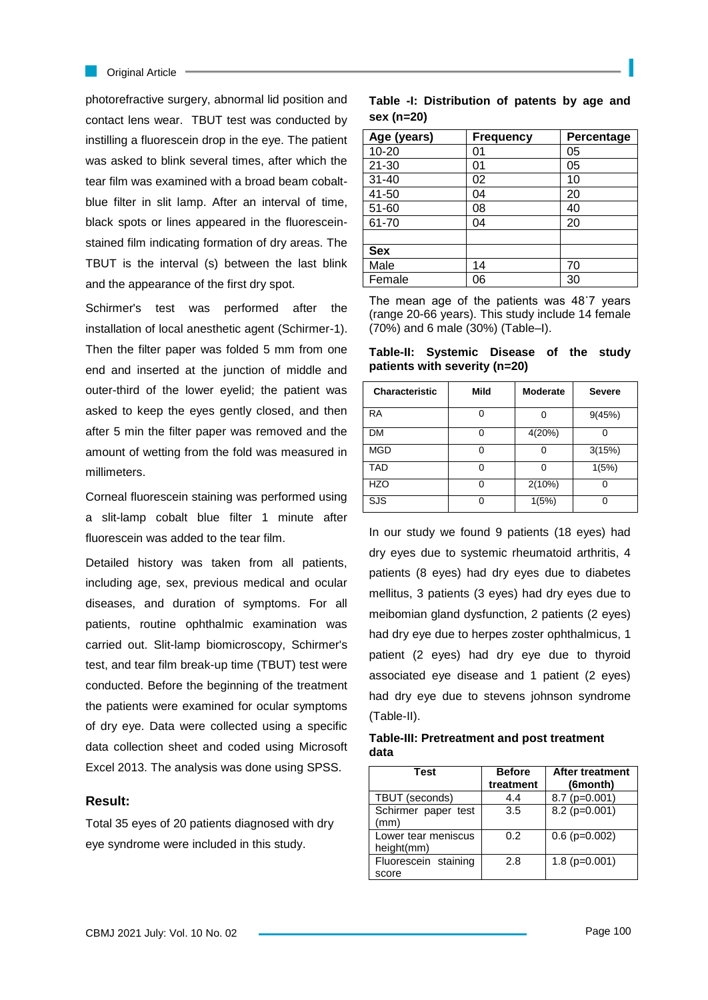#### **Criginal Article**

photorefractive surgery, abnormal lid position and contact lens wear. TBUT test was conducted by instilling a fluorescein drop in the eye. The patient was asked to blink several times, after which the tear film was examined with a broad beam cobaltblue filter in slit lamp. After an interval of time, black spots or lines appeared in the fluoresceinstained film indicating formation of dry areas. The TBUT is the interval (s) between the last blink and the appearance of the first dry spot.

Schirmer's test was performed after the installation of local anesthetic agent (Schirmer-1). Then the filter paper was folded 5 mm from one end and inserted at the junction of middle and outer-third of the lower eyelid; the patient was asked to keep the eyes gently closed, and then after 5 min the filter paper was removed and the amount of wetting from the fold was measured in millimeters.

Corneal fluorescein staining was performed using a slit-lamp cobalt blue filter 1 minute after fluorescein was added to the tear film.

Detailed history was taken from all patients, including age, sex, previous medical and ocular diseases, and duration of symptoms. For all patients, routine ophthalmic examination was carried out. Slit-lamp biomicroscopy, Schirmer's test, and tear film break-up time (TBUT) test were conducted. Before the beginning of the treatment the patients were examined for ocular symptoms of dry eye. Data were collected using a specific data collection sheet and coded using Microsoft Excel 2013. The analysis was done using SPSS.

### **Result:**

Total 35 eyes of 20 patients diagnosed with dry eye syndrome were included in this study.

|            | Table -I: Distribution of patents by age and |  |  |  |
|------------|----------------------------------------------|--|--|--|
| sex (n=20) |                                              |  |  |  |

| Age (years) | <b>Frequency</b> | Percentage |
|-------------|------------------|------------|
| $10 - 20$   | 01               | 05         |
| $21 - 30$   | 01               | 05         |
| $31 - 40$   | 02               | 10         |
| 41-50       | 04               | 20         |
| 51-60       | 08               | 40         |
| 61-70       | 04               | 20         |
|             |                  |            |
| <b>Sex</b>  |                  |            |
| Male        | 14               | 70         |
| Female      | 06               | 30         |

The mean age of the patients was 48˙7 years (range 20-66 years). This study include 14 female (70%) and 6 male (30%) (Table–I).

**Table-II: Systemic Disease of the study patients with severity (n=20)**

| <b>Characteristic</b> | Mild | <b>Moderate</b> | <b>Severe</b> |
|-----------------------|------|-----------------|---------------|
| <b>RA</b>             | ი    |                 | 9(45%)        |
| <b>DM</b>             | O    | 4(20%)          |               |
| <b>MGD</b>            | 0    |                 | 3(15%)        |
| <b>TAD</b>            | ი    |                 | 1(5%)         |
| <b>HZO</b>            | ი    | 2(10%)          |               |
| SJS                   | ი    | 1(5%)           |               |

In our study we found 9 patients (18 eyes) had dry eyes due to systemic rheumatoid arthritis, 4 patients (8 eyes) had dry eyes due to diabetes mellitus, 3 patients (3 eyes) had dry eyes due to meibomian gland dysfunction, 2 patients (2 eyes) had dry eye due to herpes zoster ophthalmicus, 1 patient (2 eyes) had dry eye due to thyroid associated eye disease and 1 patient (2 eyes) had dry eye due to stevens johnson syndrome (Table-II).

## **Table-III: Pretreatment and post treatment data**

| Test                 | <b>Before</b> | <b>After treatment</b> |
|----------------------|---------------|------------------------|
|                      | treatment     | (6month)               |
| TBUT (seconds)       | 4.4           | $8.7$ (p=0.001)        |
| Schirmer paper test  | 3.5           | $8.2$ (p=0.001)        |
| (mm)                 |               |                        |
| Lower tear meniscus  | 0.2           | $0.6$ (p=0.002)        |
| height(mm)           |               |                        |
| Fluorescein staining | 2.8           | $1.8$ (p=0.001)        |
| score                |               |                        |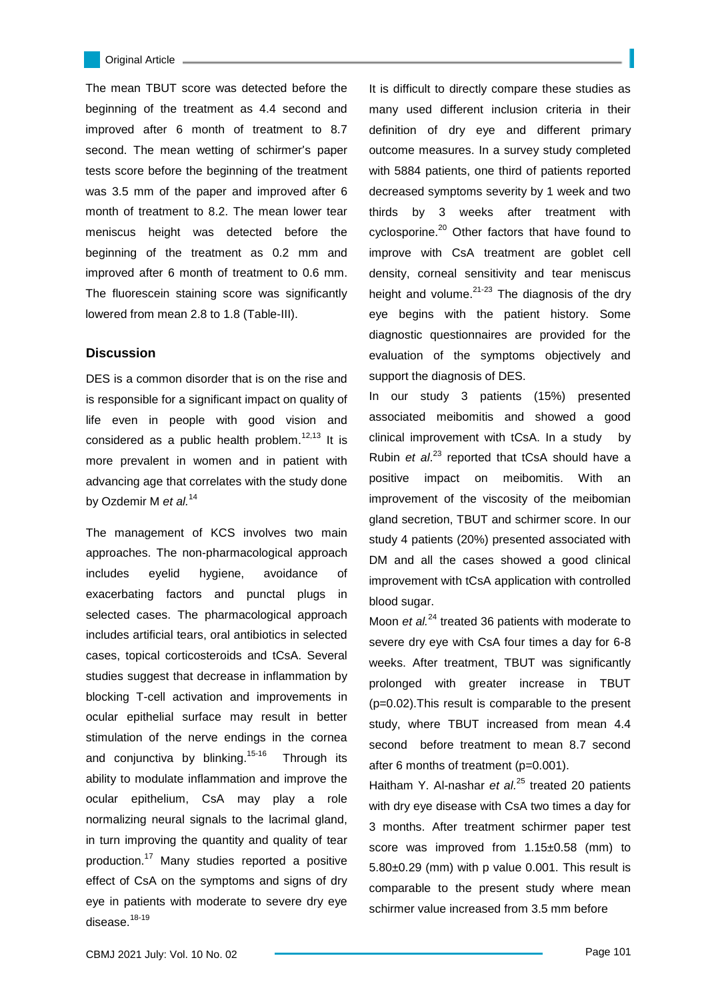The mean TBUT score was detected before the beginning of the treatment as 4.4 second and improved after 6 month of treatment to 8.7 second. The mean wetting of schirmer's paper tests score before the beginning of the treatment was 3.5 mm of the paper and improved after 6 month of treatment to 8.2. The mean lower tear meniscus height was detected before the beginning of the treatment as 0.2 mm and improved after 6 month of treatment to 0.6 mm. The fluorescein staining score was significantly lowered from mean 2.8 to 1.8 (Table-III).

### **Discussion**

DES is a common disorder that is on the rise and is responsible for a significant impact on quality of life even in people with good vision and considered as a public health problem.<sup>12,13</sup> It is more prevalent in women and in patient with advancing age that correlates with the study done by Ozdemir M *et al.*<sup>14</sup>

The management of KCS involves two main approaches. The non-pharmacological approach includes eyelid hygiene, avoidance of exacerbating factors and punctal plugs in selected cases. The pharmacological approach includes artificial tears, oral antibiotics in selected cases, topical corticosteroids and tCsA. Several studies suggest that decrease in inflammation by blocking T-cell activation and improvements in ocular epithelial surface may result in better stimulation of the nerve endings in the cornea and conjunctiva by blinking.<sup>15-16</sup> Through its ability to modulate inflammation and improve the ocular epithelium, CsA may play a role normalizing neural signals to the lacrimal gland, in turn improving the quantity and quality of tear production.<sup>17</sup> Many studies reported a positive effect of CsA on the symptoms and signs of dry eye in patients with moderate to severe dry eye disease.<sup>18-19</sup>

It is difficult to directly compare these studies as many used different inclusion criteria in their definition of dry eye and different primary outcome measures. In a survey study completed with 5884 patients, one third of patients reported decreased symptoms severity by 1 week and two thirds by 3 weeks after treatment with cyclosporine.<sup>20</sup> Other factors that have found to improve with CsA treatment are goblet cell density, corneal sensitivity and tear meniscus height and volume. $21-23$  The diagnosis of the dry eye begins with the patient history. Some diagnostic questionnaires are provided for the evaluation of the symptoms objectively and support the diagnosis of DES.

In our study 3 patients (15%) presented associated meibomitis and showed a good clinical improvement with tCsA. In a study by Rubin *et al*. <sup>23</sup> reported that tCsA should have a positive impact on meibomitis. With an improvement of the viscosity of the meibomian gland secretion, TBUT and schirmer score. In our study 4 patients (20%) presented associated with DM and all the cases showed a good clinical improvement with tCsA application with controlled blood sugar.

Moon *et al.*<sup>24</sup> treated 36 patients with moderate to severe dry eye with CsA four times a day for 6-8 weeks. After treatment, TBUT was significantly prolonged with greater increase in TBUT (p=0.02).This result is comparable to the present study, where TBUT increased from mean 4.4 second before treatment to mean 8.7 second after 6 months of treatment (p=0.001).

Haitham Y. Al-nashar *et al.*<sup>25</sup> treated 20 patients with dry eye disease with CsA two times a day for 3 months. After treatment schirmer paper test score was improved from 1.15±0.58 (mm) to 5.80±0.29 (mm) with p value 0.001. This result is comparable to the present study where mean schirmer value increased from 3.5 mm before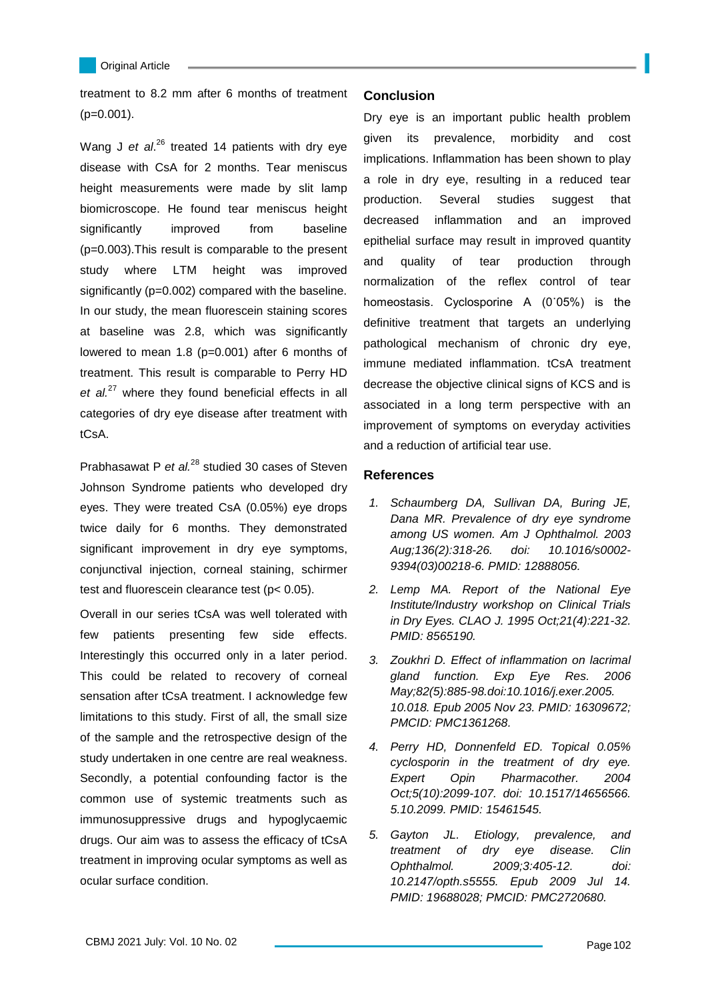

L

treatment to 8.2 mm after 6 months of treatment (p=0.001).

Wang J et al.<sup>26</sup> treated 14 patients with dry eye disease with CsA for 2 months. Tear meniscus height measurements were made by slit lamp biomicroscope. He found tear meniscus height significantly improved from baseline (p=0.003).This result is comparable to the present study where LTM height was improved significantly (p=0.002) compared with the baseline. In our study, the mean fluorescein staining scores at baseline was 2.8, which was significantly lowered to mean 1.8 (p=0.001) after 6 months of treatment. This result is comparable to Perry HD *et al.*<sup>27</sup> where they found beneficial effects in all categories of dry eye disease after treatment with tCsA.

Prabhasawat P *et al.*<sup>28</sup> studied 30 cases of Steven Johnson Syndrome patients who developed dry eyes. They were treated CsA (0.05%) eye drops twice daily for 6 months. They demonstrated significant improvement in dry eye symptoms, conjunctival injection, corneal staining, schirmer test and fluorescein clearance test (p< 0.05).

Overall in our series tCsA was well tolerated with few patients presenting few side effects. Interestingly this occurred only in a later period. This could be related to recovery of corneal sensation after tCsA treatment. I acknowledge few limitations to this study. First of all, the small size of the sample and the retrospective design of the study undertaken in one centre are real weakness. Secondly, a potential confounding factor is the common use of systemic treatments such as immunosuppressive drugs and hypoglycaemic drugs. Our aim was to assess the efficacy of tCsA treatment in improving ocular symptoms as well as ocular surface condition.

### **Conclusion**

Dry eye is an important public health problem given its prevalence, morbidity and cost implications. Inflammation has been shown to play a role in dry eye, resulting in a reduced tear production. Several studies suggest that decreased inflammation and an improved epithelial surface may result in improved quantity and quality of tear production through normalization of the reflex control of tear homeostasis. Cyclosporine A (0˙05%) is the definitive treatment that targets an underlying pathological mechanism of chronic dry eye, immune mediated inflammation. tCsA treatment decrease the objective clinical signs of KCS and is associated in a long term perspective with an improvement of symptoms on everyday activities and a reduction of artificial tear use.

# **References**

- *1. Schaumberg DA, Sullivan DA, Buring JE, Dana MR. Prevalence of dry eye syndrome among US women. Am J Ophthalmol. 2003 Aug;136(2):318-26. doi: 10.1016/s0002- 9394(03)00218-6. PMID: 12888056.*
- *2. Lemp MA. Report of the National Eye Institute/Industry workshop on Clinical Trials in Dry Eyes. CLAO J. 1995 Oct;21(4):221-32. PMID: 8565190.*
- *3. Zoukhri D. Effect of inflammation on lacrimal gland function. Exp Eye Res. 2006 May;82(5):885-98.doi:10.1016/j.exer.2005. 10.018. Epub 2005 Nov 23. PMID: 16309672; PMCID: PMC1361268.*
- *4. Perry HD, Donnenfeld ED. Topical 0.05% cyclosporin in the treatment of dry eye. Expert Opin Pharmacother. 2004 Oct;5(10):2099-107. doi: 10.1517/14656566. 5.10.2099. PMID: 15461545.*
- *5. Gayton JL. Etiology, prevalence, and treatment of dry eye disease. Clin Ophthalmol. 2009;3:405-12. doi: 10.2147/opth.s5555. Epub 2009 Jul 14. PMID: 19688028; PMCID: PMC2720680.*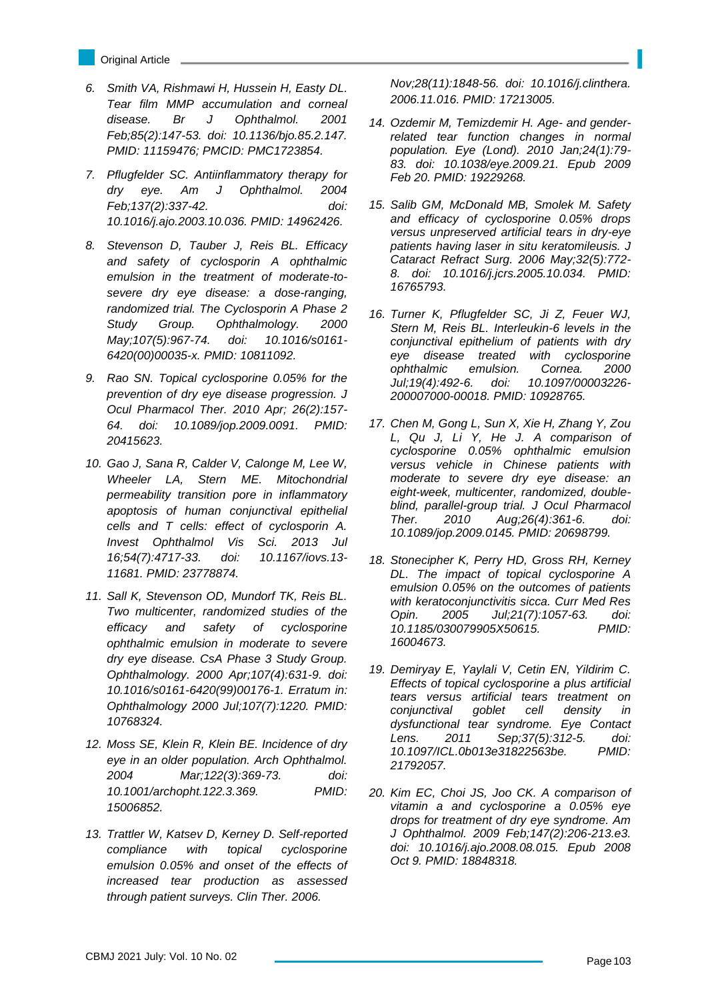- Original Article
- *6. Smith VA, Rishmawi H, Hussein H, Easty DL. Tear film MMP accumulation and corneal disease. Br J Ophthalmol. 2001 Feb;85(2):147-53. doi: 10.1136/bjo.85.2.147. PMID: 11159476; PMCID: PMC1723854.*
- *7. Pflugfelder SC. Antiinflammatory therapy for dry eye. Am J Ophthalmol. 2004 Feb;137(2):337-42. doi: 10.1016/j.ajo.2003.10.036. PMID: 14962426.*
- *8. Stevenson D, Tauber J, Reis BL. Efficacy and safety of cyclosporin A ophthalmic emulsion in the treatment of moderate-tosevere dry eye disease: a dose-ranging, randomized trial. The Cyclosporin A Phase 2 Study Group. Ophthalmology. 2000 May;107(5):967-74. doi: 10.1016/s0161- 6420(00)00035-x. PMID: 10811092.*
- *9. Rao SN. Topical cyclosporine 0.05% for the prevention of dry eye disease progression. J Ocul Pharmacol Ther. 2010 Apr; 26(2):157- 64. doi: 10.1089/jop.2009.0091. PMID: 20415623.*
- *10. Gao J, Sana R, Calder V, Calonge M, Lee W, Wheeler LA, Stern ME. Mitochondrial permeability transition pore in inflammatory apoptosis of human conjunctival epithelial cells and T cells: effect of cyclosporin A. Invest Ophthalmol Vis Sci. 2013 Jul 16;54(7):4717-33. doi: 10.1167/iovs.13- 11681. PMID: 23778874.*
- *11. Sall K, Stevenson OD, Mundorf TK, Reis BL. Two multicenter, randomized studies of the efficacy and safety of cyclosporine ophthalmic emulsion in moderate to severe dry eye disease. CsA Phase 3 Study Group. Ophthalmology. 2000 Apr;107(4):631-9. doi: 10.1016/s0161-6420(99)00176-1. Erratum in: Ophthalmology 2000 Jul;107(7):1220. PMID: 10768324.*
- *12. Moss SE, Klein R, Klein BE. Incidence of dry eye in an older population. Arch Ophthalmol. 2004 Mar;122(3):369-73. doi: 10.1001/archopht.122.3.369. PMID: 15006852.*
- *13. Trattler W, Katsev D, Kerney D. Self-reported compliance with topical cyclosporine emulsion 0.05% and onset of the effects of increased tear production as assessed through patient surveys. Clin Ther. 2006.*

*Nov;28(11):1848-56. doi: 10.1016/j.clinthera. 2006.11.016. PMID: 17213005.*

- *14. Ozdemir M, Temizdemir H. Age- and genderrelated tear function changes in normal population. Eye (Lond). 2010 Jan;24(1):79- 83. doi: 10.1038/eye.2009.21. Epub 2009 Feb 20. PMID: 19229268.*
- *15. Salib GM, McDonald MB, Smolek M. Safety and efficacy of cyclosporine 0.05% drops versus unpreserved artificial tears in dry-eye patients having laser in situ keratomileusis. J Cataract Refract Surg. 2006 May;32(5):772- 8. doi: 10.1016/j.jcrs.2005.10.034. PMID: 16765793.*
- *16. Turner K, Pflugfelder SC, Ji Z, Feuer WJ, Stern M, Reis BL. Interleukin-6 levels in the conjunctival epithelium of patients with dry eye disease treated with cyclosporine ophthalmic emulsion. Cornea. 2000 Jul;19(4):492-6. doi: 10.1097/00003226- 200007000-00018. PMID: 10928765.*
- *17. Chen M, Gong L, Sun X, Xie H, Zhang Y, Zou L, Qu J, Li Y, He J. A comparison of cyclosporine 0.05% ophthalmic emulsion versus vehicle in Chinese patients with moderate to severe dry eye disease: an eight-week, multicenter, randomized, doubleblind, parallel-group trial. J Ocul Pharmacol Ther. 2010 Aug;26(4):361-6. doi: 10.1089/jop.2009.0145. PMID: 20698799.*
- *18. Stonecipher K, Perry HD, Gross RH, Kerney DL. The impact of topical cyclosporine A emulsion 0.05% on the outcomes of patients with keratoconjunctivitis sicca. Curr Med Res Opin. 2005 Jul;21(7):1057-63. doi: 10.1185/030079905X50615. PMID: 16004673.*
- *19. Demiryay E, Yaylali V, Cetin EN, Yildirim C. Effects of topical cyclosporine a plus artificial tears versus artificial tears treatment on conjunctival goblet cell density in dysfunctional tear syndrome. Eye Contact Lens. 2011 Sep;37(5):312-5. doi: 10.1097/ICL.0b013e31822563be. PMID: 21792057.*
- *20. Kim EC, Choi JS, Joo CK. A comparison of vitamin a and cyclosporine a 0.05% eye drops for treatment of dry eye syndrome. Am J Ophthalmol. 2009 Feb;147(2):206-213.e3. doi: 10.1016/j.ajo.2008.08.015. Epub 2008 Oct 9. PMID: 18848318.*